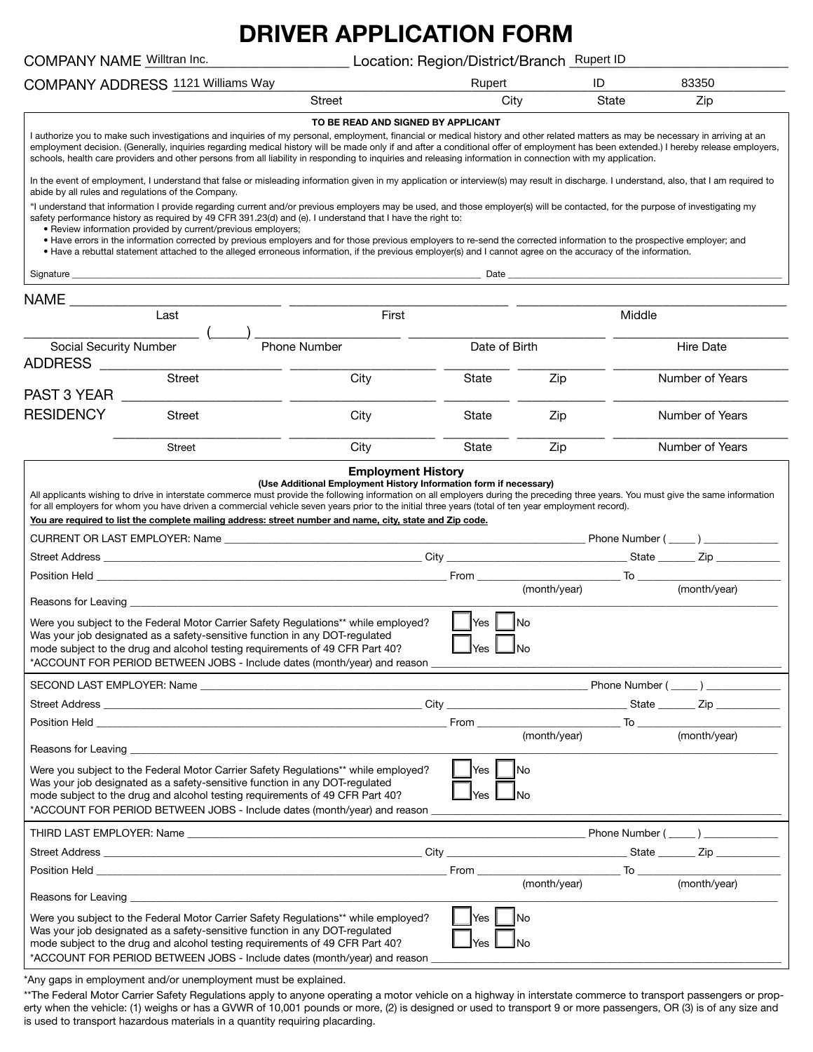# **DRIVER APPLICATION FORM**

| COMPANY NAME Willtran Inc.                                                                                                                                                                                                                                                                                                                                                                                                                                                                                                                                                                                                                                                                               |                                    | Location: Region/District/Branch_Rupert ID |                                 |                    |        |                  |
|----------------------------------------------------------------------------------------------------------------------------------------------------------------------------------------------------------------------------------------------------------------------------------------------------------------------------------------------------------------------------------------------------------------------------------------------------------------------------------------------------------------------------------------------------------------------------------------------------------------------------------------------------------------------------------------------------------|------------------------------------|--------------------------------------------|---------------------------------|--------------------|--------|------------------|
| COMPANY ADDRESS 1121 Williams Way                                                                                                                                                                                                                                                                                                                                                                                                                                                                                                                                                                                                                                                                        |                                    |                                            | Rupert                          |                    | ID     | 83350            |
|                                                                                                                                                                                                                                                                                                                                                                                                                                                                                                                                                                                                                                                                                                          | Street                             |                                            |                                 | City               | State  | Zip              |
| I authorize you to make such investigations and inquiries of my personal, employment, financial or medical history and other related matters as may be necessary in arriving at an<br>employment decision. (Generally, inquiries regarding medical history will be made only if and after a conditional offer of employment has been extended.) I hereby release employers,<br>schools, health care providers and other persons from all liability in responding to inquiries and releasing information in connection with my application.                                                                                                                                                               | TO BE READ AND SIGNED BY APPLICANT |                                            |                                 |                    |        |                  |
| In the event of employment, I understand that false or misleading information given in my application or interview(s) may result in discharge. I understand, also, that I am required to<br>abide by all rules and regulations of the Company.                                                                                                                                                                                                                                                                                                                                                                                                                                                           |                                    |                                            |                                 |                    |        |                  |
| "I understand that information I provide regarding current and/or previous employers may be used, and those employer(s) will be contacted, for the purpose of investigating my<br>safety performance history as required by 49 CFR 391.23(d) and (e). I understand that I have the right to:<br>. Review information provided by current/previous employers;<br>• Have errors in the information corrected by previous employers and for those previous employers to re-send the corrected information to the prospective employer; and<br>• Have a rebuttal statement attached to the alleged erroneous information, if the previous employer(s) and I cannot agree on the accuracy of the information. |                                    |                                            |                                 |                    |        |                  |
| Signature ____                                                                                                                                                                                                                                                                                                                                                                                                                                                                                                                                                                                                                                                                                           |                                    |                                            |                                 |                    |        |                  |
|                                                                                                                                                                                                                                                                                                                                                                                                                                                                                                                                                                                                                                                                                                          |                                    |                                            |                                 |                    |        |                  |
| Last                                                                                                                                                                                                                                                                                                                                                                                                                                                                                                                                                                                                                                                                                                     |                                    | First                                      |                                 |                    | Middle |                  |
| <b>Social Security Number</b><br>ADDRESS                                                                                                                                                                                                                                                                                                                                                                                                                                                                                                                                                                                                                                                                 | <b>Phone Number</b>                |                                            | Date of Birth                   |                    |        | <b>Hire Date</b> |
| <b>Street</b><br>PAST 3 YEAR                                                                                                                                                                                                                                                                                                                                                                                                                                                                                                                                                                                                                                                                             | City                               |                                            | State                           | Zip                |        | Number of Years  |
| <b>RESIDENCY</b><br><b>Street</b>                                                                                                                                                                                                                                                                                                                                                                                                                                                                                                                                                                                                                                                                        | City                               |                                            | State                           | Zip                |        | Number of Years  |
| <b>Street</b>                                                                                                                                                                                                                                                                                                                                                                                                                                                                                                                                                                                                                                                                                            | City                               |                                            | State                           | Zip                |        | Number of Years  |
| You are required to list the complete mailing address: street number and name, city, state and Zip code.<br>Position Held <b>Contract Contract Contract Contract Contract Contract Contract Contract Contract Contract Contract Contract Contract Contract Contract Contract Contract Contract Contract Contract Contract Contract Contract </b>                                                                                                                                                                                                                                                                                                                                                         |                                    |                                            |                                 |                    |        |                  |
| Reasons for Leaving<br>Were you subject to the Federal Motor Carrier Safety Regulations** while employed?<br>Was your job designated as a safety-sensitive function in any DOT-regulated<br>mode subject to the drug and alcohol testing requirements of 49 CFR Part 40?<br>*ACCOUNT FOR PERIOD BETWEEN JOBS - Include dates (month/year) and reason ____________                                                                                                                                                                                                                                                                                                                                        |                                    |                                            | Yes<br>$\Box$ Yes $\Box$ No     | <b>INo</b>         |        |                  |
|                                                                                                                                                                                                                                                                                                                                                                                                                                                                                                                                                                                                                                                                                                          |                                    |                                            |                                 |                    |        |                  |
|                                                                                                                                                                                                                                                                                                                                                                                                                                                                                                                                                                                                                                                                                                          |                                    |                                            |                                 |                    |        |                  |
|                                                                                                                                                                                                                                                                                                                                                                                                                                                                                                                                                                                                                                                                                                          |                                    |                                            |                                 | (month/year)       |        | (month/year)     |
| Reasons for Leaving the contract of the contract of the contract of the contract of the contract of the contract of the contract of the contract of the contract of the contract of the contract of the contract of the contra                                                                                                                                                                                                                                                                                                                                                                                                                                                                           |                                    |                                            |                                 |                    |        |                  |
| Were you subject to the Federal Motor Carrier Safety Regulations** while employed?<br>Was your job designated as a safety-sensitive function in any DOT-regulated<br>mode subject to the drug and alcohol testing requirements of 49 CFR Part 40?<br>*ACCOUNT FOR PERIOD BETWEEN JOBS - Include dates (month/year) and reason                                                                                                                                                                                                                                                                                                                                                                            |                                    |                                            | $ $ Yes $ $<br>$\mathsf{l}$ Yes | <b>No</b><br>∐No   |        |                  |
|                                                                                                                                                                                                                                                                                                                                                                                                                                                                                                                                                                                                                                                                                                          |                                    |                                            |                                 |                    |        |                  |
|                                                                                                                                                                                                                                                                                                                                                                                                                                                                                                                                                                                                                                                                                                          |                                    |                                            |                                 |                    |        |                  |
|                                                                                                                                                                                                                                                                                                                                                                                                                                                                                                                                                                                                                                                                                                          |                                    |                                            |                                 |                    |        |                  |
| Reasons for Leaving Learning and the contract of the contract of the contract of the contract of the contract of the contract of the contract of the contract of the contract of the contract of the contract of the contract                                                                                                                                                                                                                                                                                                                                                                                                                                                                            |                                    |                                            |                                 |                    |        |                  |
| Were you subject to the Federal Motor Carrier Safety Regulations** while employed?<br>Was your job designated as a safety-sensitive function in any DOT-regulated<br>mode subject to the drug and alcohol testing requirements of 49 CFR Part 40?<br>*ACCOUNT FOR PERIOD BETWEEN JOBS - Include dates (month/year) and reason                                                                                                                                                                                                                                                                                                                                                                            |                                    |                                            | Yes<br>Yes                      | <b>INo</b><br>INo. |        |                  |

\*Any gaps in employment and/or unemployment must be explained.

\*\*The Federal Motor Carrier Safety Regulations apply to anyone operating a motor vehicle on a highway in interstate commerce to transport passengers or property when the vehicle: (1) weighs or has a GVWR of 10,001 pounds or more, (2) is designed or used to transport 9 or more passengers, OR (3) is of any size and is used to transport hazardous materials in a quantity requiring placarding.